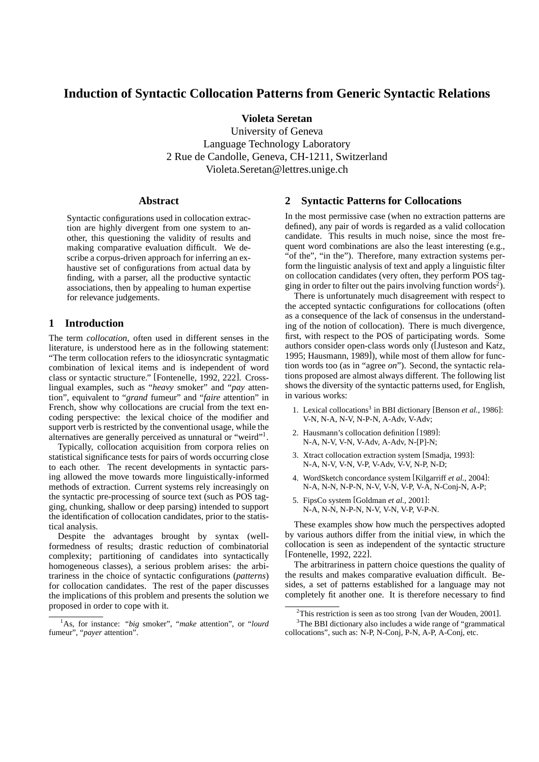# **Induction of Syntactic Collocation Patterns from Generic Syntactic Relations**

**Violeta Seretan**

University of Geneva Language Technology Laboratory 2 Rue de Candolle, Geneva, CH-1211, Switzerland Violeta.Seretan@lettres.unige.ch

#### **Abstract**

Syntactic configurations used in collocation extraction are highly divergent from one system to another, this questioning the validity of results and making comparative evaluation difficult. We describe a corpus-driven approach for inferring an exhaustive set of configurations from actual data by finding, with a parser, all the productive syntactic associations, then by appealing to human expertise for relevance judgements.

## **1 Introduction**

The term *collocation*, often used in different senses in the literature, is understood here as in the following statement: "The term collocation refers to the idiosyncratic syntagmatic combination of lexical items and is independent of word class or syntactic structure." [Fontenelle, 1992, 222]. Crosslingual examples, such as "*heavy* smoker" and "*pay* attention", equivalent to "*grand* fumeur" and "*faire* attention" in French, show why collocations are crucial from the text encoding perspective: the lexical choice of the modifier and support verb is restricted by the conventional usage, while the alternatives are generally perceived as unnatural or "weird"<sup>1</sup> .

Typically, collocation acquisition from corpora relies on statistical significance tests for pairs of words occurring close to each other. The recent developments in syntactic parsing allowed the move towards more linguistically-informed methods of extraction. Current systems rely increasingly on the syntactic pre-processing of source text (such as POS tagging, chunking, shallow or deep parsing) intended to support the identification of collocation candidates, prior to the statistical analysis.

Despite the advantages brought by syntax (wellformedness of results; drastic reduction of combinatorial complexity; partitioning of candidates into syntactically homogeneous classes), a serious problem arises: the arbitrariness in the choice of syntactic configurations (*patterns*) for collocation candidates. The rest of the paper discusses the implications of this problem and presents the solution we proposed in order to cope with it.

#### **2 Syntactic Patterns for Collocations**

In the most permissive case (when no extraction patterns are defined), any pair of words is regarded as a valid collocation candidate. This results in much noise, since the most frequent word combinations are also the least interesting (e.g., "of the", "in the"). Therefore, many extraction systems perform the linguistic analysis of text and apply a linguistic filter on collocation candidates (very often, they perform POS tagging in order to filter out the pairs involving function words<sup>2</sup>).

There is unfortunately much disagreement with respect to the accepted syntactic configurations for collocations (often as a consequence of the lack of consensus in the understanding of the notion of collocation). There is much divergence, first, with respect to the POS of participating words. Some authors consider open-class words only ([Justeson and Katz, 1995; Hausmann, 1989]), while most of them allow for function words too (as in "agree *on*"). Second, the syntactic relations proposed are almost always different. The following list shows the diversity of the syntactic patterns used, for English, in various works:

- 1. Lexical collocations<sup>3</sup> in BBI dictionary [Benson et al., 1986]: V-N, N-A, N-V, N-P-N, A-Adv, V-Adv;
- 2. Hausmann's collocation definition [1989]: N-A, N-V, V-N, V-Adv, A-Adv, N-[P]-N;
- 3. Xtract collocation extraction system [Smadja, 1993]: N-A, N-V, V-N, V-P, V-Adv, V-V, N-P, N-D;
- 4. WordSketch concordance system [Kilgarriff *et al.*, 2004]: N-A, N-N, N-P-N, N-V, V-N, V-P, V-A, N-Conj-N, A-P;
- 5. FipsCo system [Goldman *et al.*, 2001]: N-A, N-N, N-P-N, N-V, V-N, V-P, V-P-N.

These examples show how much the perspectives adopted by various authors differ from the initial view, in which the collocation is seen as independent of the syntactic structure [Fontenelle, 1992, 222].

The arbitrariness in pattern choice questions the quality of the results and makes comparative evaluation difficult. Besides, a set of patterns established for a language may not completely fit another one. It is therefore necessary to find

<sup>1</sup>As, for instance: "*big* smoker", "*make* attention", or "*lourd* fumeur", "*payer* attention".

<sup>&</sup>lt;sup>2</sup>This restriction is seen as too strong [van der Wouden, 2001].

<sup>&</sup>lt;sup>3</sup>The BBI dictionary also includes a wide range of "grammatical collocations", such as: N-P, N-Conj, P-N, A-P, A-Conj, etc.